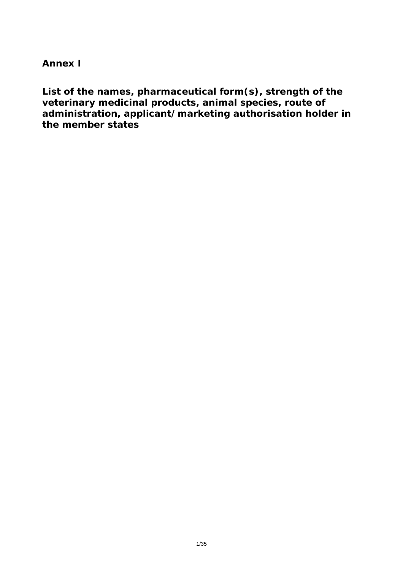**Annex I** 

**List of the names, pharmaceutical form(s), strength of the veterinary medicinal products, animal species, route of administration, applicant/marketing authorisation holder in the member states**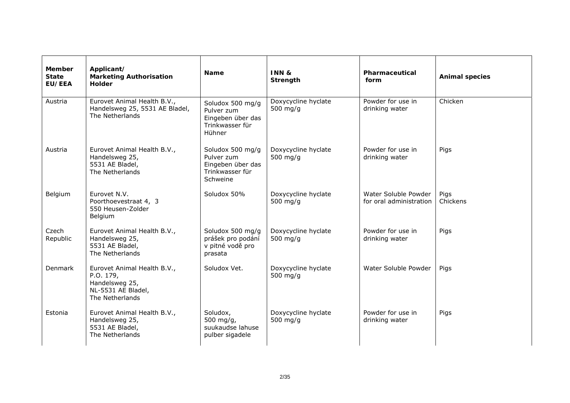| <b>Member</b><br><b>State</b><br><b>EU/EEA</b> | Applicant/<br><b>Marketing Authorisation</b><br>Holder                                              | <b>Name</b>                                                                        | INN &<br>Strength                 | Pharmaceutical<br>form                          | <b>Animal species</b> |
|------------------------------------------------|-----------------------------------------------------------------------------------------------------|------------------------------------------------------------------------------------|-----------------------------------|-------------------------------------------------|-----------------------|
| Austria                                        | Eurovet Animal Health B.V.,<br>Handelsweg 25, 5531 AE Bladel,<br>The Netherlands                    | Soludox 500 mg/g<br>Pulver zum<br>Eingeben über das<br>Trinkwasser für<br>Hühner   | Doxycycline hyclate<br>500 $mg/q$ | Powder for use in<br>drinking water             | Chicken               |
| Austria                                        | Eurovet Animal Health B.V.,<br>Handelsweg 25,<br>5531 AE Bladel,<br>The Netherlands                 | Soludox 500 mg/g<br>Pulver zum<br>Eingeben über das<br>Trinkwasser für<br>Schweine | Doxycycline hyclate<br>500 $mg/q$ | Powder for use in<br>drinking water             | Pigs                  |
| Belgium                                        | Eurovet N.V.<br>Poorthoevestraat 4, 3<br>550 Heusen-Zolder<br>Belgium                               | Soludox 50%                                                                        | Doxycycline hyclate<br>500 $mg/q$ | Water Soluble Powder<br>for oral administration | Pigs<br>Chickens      |
| Czech<br>Republic                              | Eurovet Animal Health B.V.,<br>Handelsweg 25,<br>5531 AE Bladel,<br>The Netherlands                 | Soludox 500 mg/g<br>prášek pro podání<br>v pitné vodě pro<br>prasata               | Doxycycline hyclate<br>500 $mg/g$ | Powder for use in<br>drinking water             | Pigs                  |
| <b>Denmark</b>                                 | Eurovet Animal Health B.V.,<br>P.O. 179,<br>Handelsweg 25,<br>NL-5531 AE Bladel,<br>The Netherlands | Soludox Vet.                                                                       | Doxycycline hyclate<br>500 $mg/q$ | Water Soluble Powder                            | Pigs                  |
| Estonia                                        | Eurovet Animal Health B.V.,<br>Handelsweg 25,<br>5531 AE Bladel,<br>The Netherlands                 | Soludox,<br>500 mg/g,<br>suukaudse lahuse<br>pulber sigadele                       | Doxycycline hyclate<br>500 $mg/q$ | Powder for use in<br>drinking water             | Pigs                  |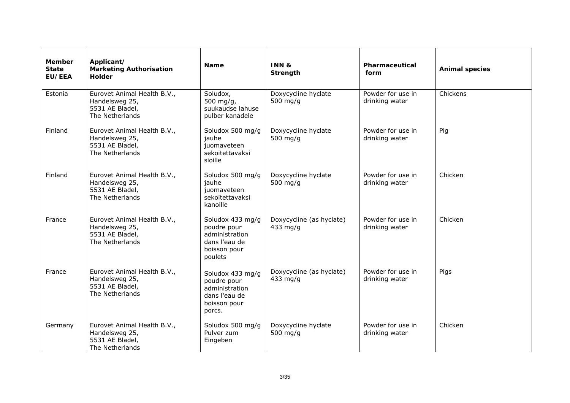| <b>Member</b><br><b>State</b><br>EU/EEA | Applicant/<br><b>Marketing Authorisation</b><br><b>Holder</b>                       | <b>Name</b>                                                                                   | INN&<br>Strength                       | Pharmaceutical<br>form              | <b>Animal species</b> |
|-----------------------------------------|-------------------------------------------------------------------------------------|-----------------------------------------------------------------------------------------------|----------------------------------------|-------------------------------------|-----------------------|
| Estonia                                 | Eurovet Animal Health B.V.,<br>Handelsweg 25,<br>5531 AE Bladel,<br>The Netherlands | Soludox,<br>500 mg/g,<br>suukaudse lahuse<br>pulber kanadele                                  | Doxycycline hyclate<br>500 $mg/q$      | Powder for use in<br>drinking water | Chickens              |
| Finland                                 | Eurovet Animal Health B.V.,<br>Handelsweg 25,<br>5531 AE Bladel,<br>The Netherlands | Soludox 500 mg/g<br>jauhe<br>juomaveteen<br>sekoitettavaksi<br>sioille                        | Doxycycline hyclate<br>500 $mg/q$      | Powder for use in<br>drinking water | Pig                   |
| Finland                                 | Eurovet Animal Health B.V.,<br>Handelsweg 25,<br>5531 AE Bladel,<br>The Netherlands | Soludox 500 mg/g<br>jauhe<br>juomaveteen<br>sekoitettavaksi<br>kanoille                       | Doxycycline hyclate<br>500 $mg/g$      | Powder for use in<br>drinking water | Chicken               |
| France                                  | Eurovet Animal Health B.V.,<br>Handelsweg 25,<br>5531 AE Bladel,<br>The Netherlands | Soludox 433 mg/g<br>poudre pour<br>administration<br>dans l'eau de<br>boisson pour<br>poulets | Doxycycline (as hyclate)<br>433 $mg/g$ | Powder for use in<br>drinking water | Chicken               |
| France                                  | Eurovet Animal Health B.V.,<br>Handelsweg 25,<br>5531 AE Bladel,<br>The Netherlands | Soludox 433 mg/g<br>poudre pour<br>administration<br>dans l'eau de<br>boisson pour<br>porcs.  | Doxycycline (as hyclate)<br>433 $mg/q$ | Powder for use in<br>drinking water | Pigs                  |
| Germany                                 | Eurovet Animal Health B.V.,<br>Handelsweg 25,<br>5531 AE Bladel,<br>The Netherlands | Soludox 500 mg/g<br>Pulver zum<br>Eingeben                                                    | Doxycycline hyclate<br>500 mg/g        | Powder for use in<br>drinking water | Chicken               |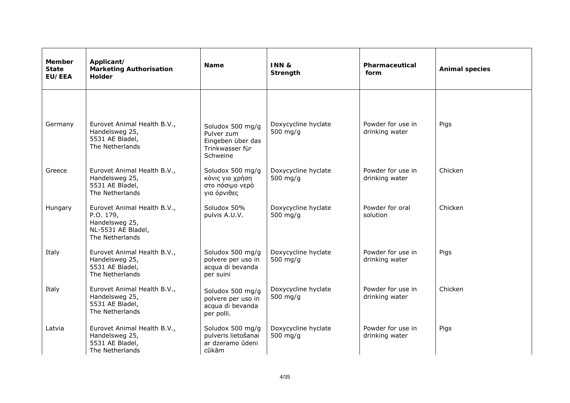| <b>Member</b><br><b>State</b><br>EU/EEA | Applicant/<br><b>Marketing Authorisation</b><br><b>Holder</b>                                       | <b>Name</b>                                                                       | INN&<br>Strength                  | Pharmaceutical<br>form              | <b>Animal species</b> |
|-----------------------------------------|-----------------------------------------------------------------------------------------------------|-----------------------------------------------------------------------------------|-----------------------------------|-------------------------------------|-----------------------|
| Germany                                 | Eurovet Animal Health B.V.,<br>Handelsweg 25,<br>5531 AE Bladel,<br>The Netherlands                 | Soludox 500 mg/g<br>Pulver zum<br>Eingeben über das<br>Trinkwasser für            | Doxycycline hyclate<br>500 $mg/q$ | Powder for use in<br>drinking water | Pigs                  |
| Greece                                  | Eurovet Animal Health B.V.,<br>Handelsweg 25,<br>5531 AE Bladel,<br>The Netherlands                 | Schweine<br>Soludox 500 mg/g<br>κόνις για χρήση<br>στο πόσιμο νερό<br>για όρνιθες | Doxycycline hyclate<br>500 mg/g   | Powder for use in<br>drinking water | Chicken               |
| Hungary                                 | Eurovet Animal Health B.V.,<br>P.O. 179,<br>Handelsweg 25,<br>NL-5531 AE Bladel,<br>The Netherlands | Soludox 50%<br>pulvis A.U.V.                                                      | Doxycycline hyclate<br>500 $mg/q$ | Powder for oral<br>solution         | Chicken               |
| Italy                                   | Eurovet Animal Health B.V.,<br>Handelsweg 25,<br>5531 AE Bladel,<br>The Netherlands                 | Soludox 500 mg/g<br>polvere per uso in<br>acqua di bevanda<br>per suini           | Doxycycline hyclate<br>500 $mg/q$ | Powder for use in<br>drinking water | Pigs                  |
| Italy                                   | Eurovet Animal Health B.V.,<br>Handelsweg 25,<br>5531 AE Bladel,<br>The Netherlands                 | Soludox 500 mg/g<br>polvere per uso in<br>acqua di bevanda<br>per polli.          | Doxycycline hyclate<br>500 mg/g   | Powder for use in<br>drinking water | Chicken               |
| Latvia                                  | Eurovet Animal Health B.V.,<br>Handelsweg 25,<br>5531 AE Bladel,<br>The Netherlands                 | Soludox 500 mg/g<br>pulveris lietošanai<br>ar dzeramo ūdeni<br>cūkām              | Doxycycline hyclate<br>500 mg/g   | Powder for use in<br>drinking water | Pigs                  |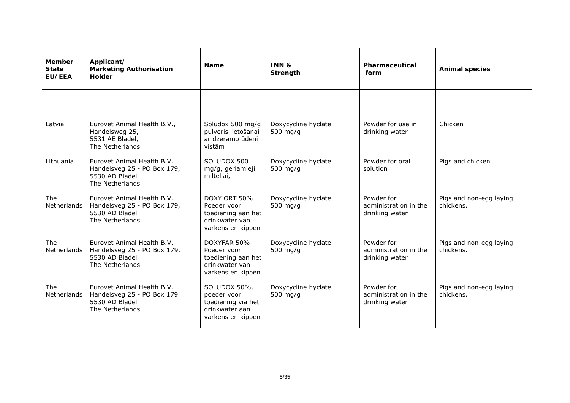| <b>Member</b><br><b>State</b><br><b>EU/EEA</b> | Applicant/<br><b>Marketing Authorisation</b><br><b>Holder</b>                                  | <b>Name</b>                                                                              | INN&<br>Strength                  | Pharmaceutical<br>form                                | <b>Animal species</b>                |
|------------------------------------------------|------------------------------------------------------------------------------------------------|------------------------------------------------------------------------------------------|-----------------------------------|-------------------------------------------------------|--------------------------------------|
|                                                |                                                                                                |                                                                                          |                                   |                                                       |                                      |
| Latvia                                         | Eurovet Animal Health B.V.,<br>Handelsweg 25,<br>5531 AE Bladel,<br>The Netherlands            | Soludox 500 mg/g<br>pulveris lietošanai<br>ar dzeramo ūdeni<br>vistām                    | Doxycycline hyclate<br>500 $mg/q$ | Powder for use in<br>drinking water                   | Chicken                              |
| Lithuania                                      | Eurovet Animal Health B.V.<br>Handelsveg 25 - PO Box 179,<br>5530 AD Bladel<br>The Netherlands | SOLUDOX 500<br>mg/g, geriamieji<br>milteliai,                                            | Doxycycline hyclate<br>500 mg/g   | Powder for oral<br>solution                           | Pigs and chicken                     |
| The<br>Netherlands                             | Eurovet Animal Health B.V.<br>Handelsveg 25 - PO Box 179,<br>5530 AD Bladel<br>The Netherlands | DOXY ORT 50%<br>Poeder voor<br>toediening aan het<br>drinkwater van<br>varkens en kippen | Doxycycline hyclate<br>500 $mg/q$ | Powder for<br>administration in the<br>drinking water | Pigs and non-egg laying<br>chickens. |
| <b>The</b><br>Netherlands                      | Eurovet Animal Health B.V.<br>Handelsveg 25 - PO Box 179,<br>5530 AD Bladel<br>The Netherlands | DOXYFAR 50%<br>Poeder voor<br>toediening aan het<br>drinkwater van<br>varkens en kippen  | Doxycycline hyclate<br>500 $mg/q$ | Powder for<br>administration in the<br>drinking water | Pigs and non-egg laying<br>chickens. |
| The<br>Netherlands                             | Eurovet Animal Health B.V.<br>Handelsveg 25 - PO Box 179<br>5530 AD Bladel<br>The Netherlands  | SOLUDOX 50%,<br>poeder voor<br>toediening via het<br>drinkwater aan<br>varkens en kippen | Doxycycline hyclate<br>500 $mg/q$ | Powder for<br>administration in the<br>drinking water | Pigs and non-egg laying<br>chickens. |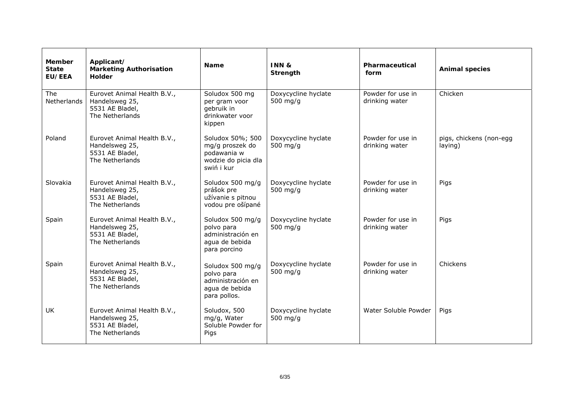| <b>Member</b><br><b>State</b><br><b>EU/EEA</b> | Applicant/<br><b>Marketing Authorisation</b><br><b>Holder</b>                       | <b>Name</b>                                                                             | INN&<br>Strength                  | Pharmaceutical<br>form              | <b>Animal species</b>              |
|------------------------------------------------|-------------------------------------------------------------------------------------|-----------------------------------------------------------------------------------------|-----------------------------------|-------------------------------------|------------------------------------|
| The<br>Netherlands                             | Eurovet Animal Health B.V.,<br>Handelsweg 25,<br>5531 AE Bladel,<br>The Netherlands | Soludox 500 mg<br>per gram voor<br>gebruik in<br>drinkwater voor<br>kippen              | Doxycycline hyclate<br>500 $mg/q$ | Powder for use in<br>drinking water | Chicken                            |
| Poland                                         | Eurovet Animal Health B.V.,<br>Handelsweg 25,<br>5531 AE Bladel,<br>The Netherlands | Soludox 50%; 500<br>mg/g proszek do<br>podawania w<br>wodzie do picia dla<br>swiń i kur | Doxycycline hyclate<br>500 $mg/q$ | Powder for use in<br>drinking water | pigs, chickens (non-egg<br>laying) |
| Slovakia                                       | Eurovet Animal Health B.V.,<br>Handelsweg 25,<br>5531 AE Bladel,<br>The Netherlands | Soludox 500 mg/g<br>prášok pre<br>užívanie s pitnou<br>vodou pre ošípané                | Doxycycline hyclate<br>500 $mg/q$ | Powder for use in<br>drinking water | Pigs                               |
| Spain                                          | Eurovet Animal Health B.V.,<br>Handelsweg 25,<br>5531 AE Bladel,<br>The Netherlands | Soludox 500 mg/g<br>polvo para<br>administración en<br>agua de bebida<br>para porcino   | Doxycycline hyclate<br>500 $mg/q$ | Powder for use in<br>drinking water | Pigs                               |
| Spain                                          | Eurovet Animal Health B.V.,<br>Handelsweg 25,<br>5531 AE Bladel,<br>The Netherlands | Soludox 500 mg/g<br>polvo para<br>administración en<br>agua de bebida<br>para pollos.   | Doxycycline hyclate<br>500 $mg/g$ | Powder for use in<br>drinking water | Chickens                           |
| UK                                             | Eurovet Animal Health B.V.,<br>Handelsweg 25,<br>5531 AE Bladel,<br>The Netherlands | Soludox, 500<br>mg/g, Water<br>Soluble Powder for<br>Pigs                               | Doxycycline hyclate<br>500 mg/g   | Water Soluble Powder                | Pigs                               |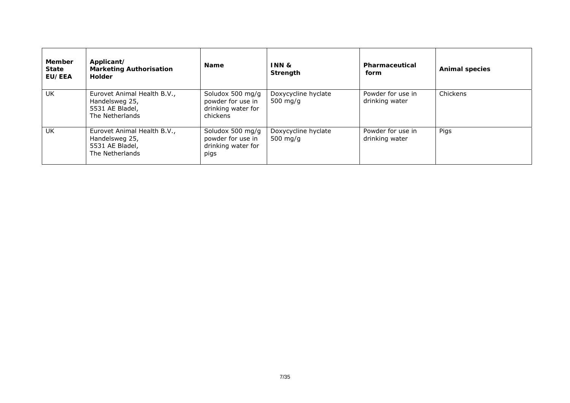| <b>Member</b><br><b>State</b><br><b>EU/EEA</b> | Applicant/<br><b>Marketing Authorisation</b><br>Holder                              | <b>Name</b>                                                             | <b>INN &amp;</b><br>Strength      | Pharmaceutical<br>form              | <b>Animal species</b> |
|------------------------------------------------|-------------------------------------------------------------------------------------|-------------------------------------------------------------------------|-----------------------------------|-------------------------------------|-----------------------|
| UK                                             | Eurovet Animal Health B.V.,<br>Handelsweg 25,<br>5531 AE Bladel,<br>The Netherlands | Soludox 500 mg/g<br>powder for use in<br>drinking water for<br>chickens | Doxycycline hyclate<br>500 $mg/q$ | Powder for use in<br>drinking water | Chickens              |
| UK                                             | Eurovet Animal Health B.V.,<br>Handelsweg 25,<br>5531 AE Bladel,<br>The Netherlands | Soludox 500 mg/g<br>powder for use in<br>drinking water for<br>pigs     | Doxycycline hyclate<br>500 $mg/q$ | Powder for use in<br>drinking water | Pigs                  |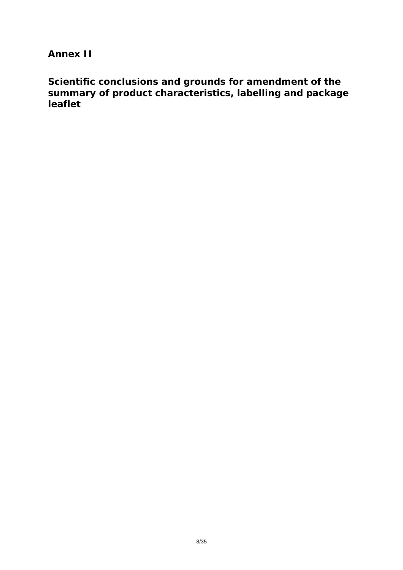**Annex II** 

**Scientific conclusions and grounds for amendment of the summary of product characteristics, labelling and package leaflet**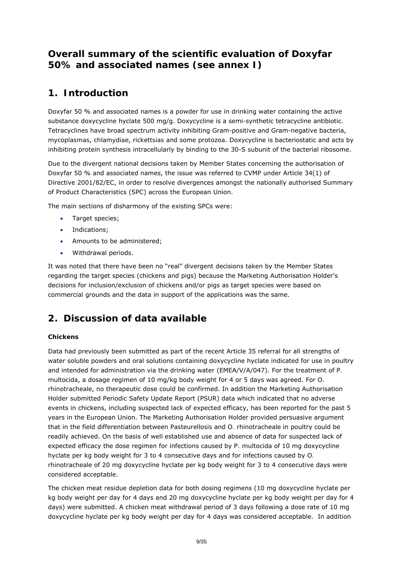# **Overall summary of the scientific evaluation of Doxyfar 50% and associated names** *(see annex I)*

# **1. Introduction**

Doxyfar 50 % and associated names is a powder for use in drinking water containing the active substance doxycycline hyclate 500 mg/g. Doxycycline is a semi-synthetic tetracycline antibiotic. Tetracyclines have broad spectrum activity inhibiting Gram-positive and Gram-negative bacteria, *mycoplasmas*, *chlamydiae*, *rickettsias* and some *protozoa*. Doxycycline is bacteriostatic and acts by inhibiting protein synthesis intracellularly by binding to the 30-S subunit of the bacterial ribosome.

Due to the divergent national decisions taken by Member States concerning the authorisation of Doxyfar 50 % and associated names, the issue was referred to CVMP under Article 34(1) of Directive 2001/82/EC, in order to resolve divergences amongst the nationally authorised Summary of Product Characteristics (SPC) across the European Union.

The main sections of disharmony of the existing SPCs were:

- Target species;
- Indications:
- Amounts to be administered;
- Withdrawal periods.

It was noted that there have been no "real" divergent decisions taken by the Member States regarding the target species (chickens and pigs) because the Marketing Authorisation Holder's decisions for inclusion/exclusion of chickens and/or pigs as target species were based on commercial grounds and the data in support of the applications was the same.

# **2. Discussion of data available**

## **Chickens**

Data had previously been submitted as part of the recent Article 35 referral for all strengths of water soluble powders and oral solutions containing doxycycline hyclate indicated for use in poultry and intended for administration via the drinking water (EMEA/V/A/047). For the treatment of *P. multocida*, a dosage regimen of 10 mg/kg body weight for 4 or 5 days was agreed. For *O. rhinotracheale*, no therapeutic dose could be confirmed. In addition the Marketing Authorisation Holder submitted Periodic Safety Update Report (PSUR) data which indicated that no adverse events in chickens, including suspected lack of expected efficacy, has been reported for the past 5 years in the European Union. The Marketing Authorisation Holder provided persuasive argument that in the field differentiation between *Pasteurellosis* and *O. rhinotracheale* in poultry could be readily achieved. On the basis of well established use and absence of data for suspected lack of expected efficacy the dose regimen for infections caused by *P. multocida* of 10 mg doxycycline hyclate per kg body weight for 3 to 4 consecutive days and for infections caused by *O. rhinotracheale* of 20 mg doxycycline hyclate per kg body weight for 3 to 4 consecutive days were considered acceptable.

The chicken meat residue depletion data for both dosing regimens (10 mg doxycycline hyclate per kg body weight per day for 4 days and 20 mg doxycycline hyclate per kg body weight per day for 4 days) were submitted. A chicken meat withdrawal period of 3 days following a dose rate of 10 mg doxycycline hyclate per kg body weight per day for 4 days was considered acceptable. In addition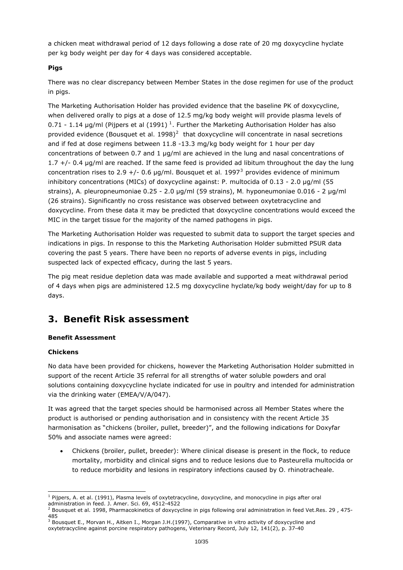a chicken meat withdrawal period of 12 days following a dose rate of 20 mg doxycycline hyclate per kg body weight per day for 4 days was considered acceptable.

## **Pigs**

There was no clear discrepancy between Member States in the dose regimen for use of the product in pigs.

The Marketing Authorisation Holder has provided evidence that the baseline PK of doxycycline, when delivered orally to pigs at a dose of 12.5 mg/kg body weight will provide plasma levels of 0.7[1](#page-9-0) - 1.14 µg/ml (Pijpers *et al* (1991)<sup>1</sup>. Further the Marketing Authorisation Holder has also provided evidence (Bousquet *et al.* 1998)<sup>[2](#page-9-1)</sup> that doxycycline will concentrate in nasal secretions and if fed at dose regimens between 11.8 -13.3 mg/kg body weight for 1 hour per day concentrations of between 0.7 and 1 µg/ml are achieved in the lung and nasal concentrations of 1.7 +/- 0.4 µg/ml are reached. If the same feed is provided *ad libitum* throughout the day the lung concentration rises to 2.9 +/- 0.6  $\mu$ g/ml. Bousquet *et al.* 1997<sup>[3](#page-9-2)</sup> provides evidence of minimum inhibitory concentrations (MICs) of doxycycline against: *P. multocida* of 0.13 - 2.0 µg/ml (55 strains), *A. pleuropneumoniae* 0.25 - 2.0 µg/ml (59 strains), *M. hyponeumoniae* 0.016 - 2 µg/ml (26 strains). Significantly no cross resistance was observed between oxytetracycline and doxycycline. From these data it may be predicted that doxycycline concentrations would exceed the MIC in the target tissue for the majority of the named pathogens in pigs.

The Marketing Authorisation Holder was requested to submit data to support the target species and indications in pigs. In response to this the Marketing Authorisation Holder submitted PSUR data covering the past 5 years. There have been no reports of adverse events in pigs, including suspected lack of expected efficacy, during the last 5 years.

The pig meat residue depletion data was made available and supported a meat withdrawal period of 4 days when pigs are administered 12.5 mg doxycycline hyclate/kg body weight/day for up to 8 days.

# **3. Benefit Risk assessment**

## **Benefit Assessment**

## *Chickens*

No data have been provided for chickens, however the Marketing Authorisation Holder submitted in support of the recent Article 35 referral for all strengths of water soluble powders and oral solutions containing doxycycline hyclate indicated for use in poultry and intended for administration via the drinking water (EMEA/V/A/047).

It was agreed that the target species should be harmonised across all Member States where the product is authorised or pending authorisation and in consistency with the recent Article 35 harmonisation as "chickens (broiler, pullet, breeder)", and the following indications for Doxyfar 50% and associate names were agreed:

 Chickens (broiler, pullet, breeder): Where clinical disease is present in the flock, to reduce mortality, morbidity and clinical signs and to reduce lesions due to *Pasteurella multocida* or to reduce morbidity and lesions in respiratory infections caused by *O. rhinotracheale*.

<span id="page-9-0"></span> 1 Pijpers, A. et al. (1991), Plasma levels of oxytetracycline, doxycycline, and monocycline in pigs after oral administration in feed. J. Amer. Sci. 69, 4512-4522

<span id="page-9-1"></span><sup>&</sup>lt;sup>2</sup> Bousquet et al. 1998, Pharmacokinetics of doxycycline in pigs following oral administration in feed Vet.Res. 29, 475-485<br><sup>3</sup> Bousquet E., Morvan H., Aitken I., Morgan J.H.(1997), Comparative in vitro activity of doxycycline and

<span id="page-9-2"></span>oxytetracycline against porcine respiratory pathogens, Veterinary Record, July 12, 141(2), p. 37-40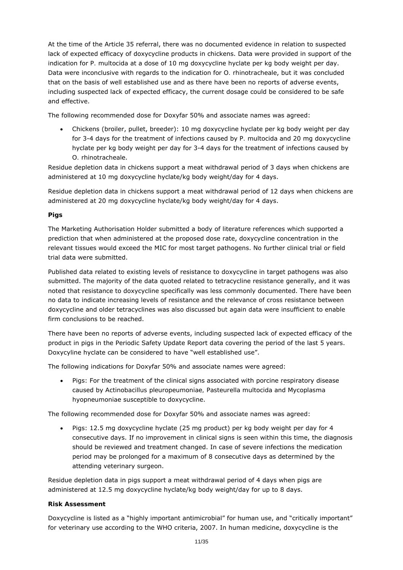At the time of the Article 35 referral, there was no documented evidence in relation to suspected lack of expected efficacy of doxycycline products in chickens. Data were provided in support of the indication for *P. multocida* at a dose of 10 mg doxycycline hyclate per kg body weight per day. Data were inconclusive with regards to the indication for *O. rhinotracheale*, but it was concluded that on the basis of well established use and as there have been no reports of adverse events, including suspected lack of expected efficacy, the current dosage could be considered to be safe and effective.

The following recommended dose for Doxyfar 50% and associate names was agreed:

 Chickens (broiler, pullet, breeder): 10 mg doxycycline hyclate per kg body weight per day for 3-4 days for the treatment of infections caused by *P. multocida* and 20 mg doxycycline hyclate per kg body weight per day for 3-4 days for the treatment of infections caused by *O. rhinotracheale*.

Residue depletion data in chickens support a meat withdrawal period of 3 days when chickens are administered at 10 mg doxycycline hyclate/kg body weight/day for 4 days.

Residue depletion data in chickens support a meat withdrawal period of 12 days when chickens are administered at 20 mg doxycycline hyclate/kg body weight/day for 4 days.

## *Pigs*

The Marketing Authorisation Holder submitted a body of literature references which supported a prediction that when administered at the proposed dose rate, doxycycline concentration in the relevant tissues would exceed the MIC for most target pathogens. No further clinical trial or field trial data were submitted.

Published data related to existing levels of resistance to doxycycline in target pathogens was also submitted. The majority of the data quoted related to tetracycline resistance generally, and it was noted that resistance to doxycycline specifically was less commonly documented. There have been no data to indicate increasing levels of resistance and the relevance of cross resistance between doxycycline and older tetracyclines was also discussed but again data were insufficient to enable firm conclusions to be reached.

There have been no reports of adverse events, including suspected lack of expected efficacy of the product in pigs in the Periodic Safety Update Report data covering the period of the last 5 years. Doxycyline hyclate can be considered to have "well established use".

The following indications for Doxyfar 50% and associate names were agreed:

• Pigs: For the treatment of the clinical signs associated with porcine respiratory disease caused by *Actinobacillus pleuropeumoniae, Pasteurella multocida* and *Mycoplasma hyopneumoniae* susceptible to doxycycline.

The following recommended dose for Doxyfar 50% and associate names was agreed:

• Pigs: 12.5 mg doxycycline hyclate (25 mg product) per kg body weight per day for 4 consecutive days. If no improvement in clinical signs is seen within this time, the diagnosis should be reviewed and treatment changed. In case of severe infections the medication period may be prolonged for a maximum of 8 consecutive days as determined by the attending veterinary surgeon.

Residue depletion data in pigs support a meat withdrawal period of 4 days when pigs are administered at 12.5 mg doxycycline hyclate/kg body weight/day for up to 8 days.

## **Risk Assessment**

Doxycycline is listed as a "highly important antimicrobial" for human use, and "critically important" for veterinary use according to the WHO criteria, 2007. In human medicine, doxycycline is the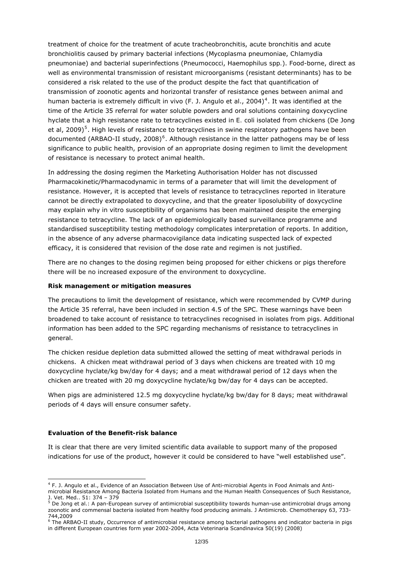treatment of choice for the treatment of acute tracheobronchitis, acute bronchitis and acute bronchiolitis caused by primary bacterial infections (*Mycoplasma pneumoniae*, *Chlamydia pneumoniae*) and bacterial superinfections (*Pneumococci*, *Haemophilus spp.*). Food-borne, direct as well as environmental transmission of resistant microorganisms (resistant determinants) has to be considered a risk related to the use of the product despite the fact that quantification of transmission of zoonotic agents and horizontal transfer of resistance genes between animal and human bacteria is extremely difficult *in vivo* (F. J. Angulo et al., 200[4](#page-11-0))<sup>4</sup>. It was identified at the time of the Article 35 referral for water soluble powders and oral solutions containing doxycycline hyclate that a high resistance rate to tetracyclines existed in *E. coli* isolated from chickens (De Jong et al, 2009)<sup>[5](#page-11-1)</sup>. High levels of resistance to tetracyclines in swine respiratory pathogens have been documented (ARBAO-II study, 2008)<sup>[6](#page-11-2)</sup>. Although resistance in the latter pathogens may be of less significance to public health, provision of an appropriate dosing regimen to limit the development of resistance is necessary to protect animal health.

In addressing the dosing regimen the Marketing Authorisation Holder has not discussed Pharmacokinetic/Pharmacodynamic in terms of a parameter that will limit the development of resistance. However, it is accepted that levels of resistance to tetracyclines reported in literature cannot be directly extrapolated to doxycycline, and that the greater liposolubility of doxycycline may explain why *in vitro* susceptibility of organisms has been maintained despite the emerging resistance to tetracycline. The lack of an epidemiologically based surveillance programme and standardised susceptibility testing methodology complicates interpretation of reports. In addition, in the absence of any adverse pharmacovigilance data indicating suspected lack of expected efficacy, it is considered that revision of the dose rate and regimen is not justified.

There are no changes to the dosing regimen being proposed for either chickens or pigs therefore there will be no increased exposure of the environment to doxycycline.

#### **Risk management or mitigation measures**

The precautions to limit the development of resistance, which were recommended by CVMP during the Article 35 referral, have been included in section 4.5 of the SPC. These warnings have been broadened to take account of resistance to tetracyclines recognised in isolates from pigs. Additional information has been added to the SPC regarding mechanisms of resistance to tetracyclines in general.

The chicken residue depletion data submitted allowed the setting of meat withdrawal periods in chickens. A chicken meat withdrawal period of 3 days when chickens are treated with 10 mg doxycycline hyclate/kg bw/day for 4 days; and a meat withdrawal period of 12 days when the chicken are treated with 20 mg doxycycline hyclate/kg bw/day for 4 days can be accepted.

When pigs are administered 12.5 mg doxycycline hyclate/kg bw/day for 8 days; meat withdrawal periods of 4 days will ensure consumer safety.

#### **Evaluation of the Benefit-risk balance**

It is clear that there are very limited scientific data available to support many of the proposed indications for use of the product, however it could be considered to have "well established use".

<span id="page-11-0"></span> 4 F. J. Angulo et al., Evidence of an Association Between Use of Anti-microbial Agents in Food Animals and Antimicrobial Resistance Among Bacteria Isolated from Humans and the Human Health Consequences of Such Resistance,

<span id="page-11-1"></span>J. Vet. Med.. 51: 374 – 379<br><sup>5</sup> De Jong et al.: A pan-European survey of antimicrobial susceptibility towards human-use antimicrobial drugs among zoonotic and commensal bacteria isolated from healthy food producing animals. J Antimicrob. Chemotherapy 63, 733- 744,2009

<span id="page-11-2"></span><sup>&</sup>lt;sup>6</sup> The ARBAO-II study, Occurrence of antimicrobial resistance among bacterial pathogens and indicator bacteria in pigs in different European countries form year 2002-2004, Acta Veterinaria Scandinavica 50(19) (2008)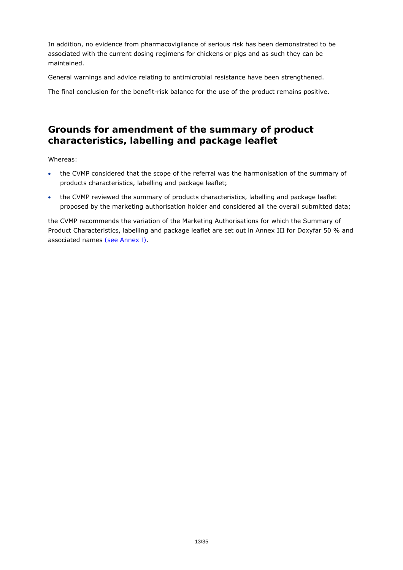In addition, no evidence from pharmacovigilance of serious risk has been demonstrated to be associated with the current dosing regimens for chickens or pigs and as such they can be maintained.

General warnings and advice relating to antimicrobial resistance have been strengthened.

The final conclusion for the benefit-risk balance for the use of the product remains positive.

# **Grounds for amendment of the summary of product characteristics, labelling and package leaflet**

Whereas:

- the CVMP considered that the scope of the referral was the harmonisation of the summary of products characteristics, labelling and package leaflet;
- the CVMP reviewed the summary of products characteristics, labelling and package leaflet proposed by the marketing authorisation holder and considered all the overall submitted data;

the CVMP recommends the variation of the Marketing Authorisations for which the Summary of Product Characteristics, labelling and package leaflet are set out in Annex III for Doxyfar 50 % and associated names *(see Annex I)*.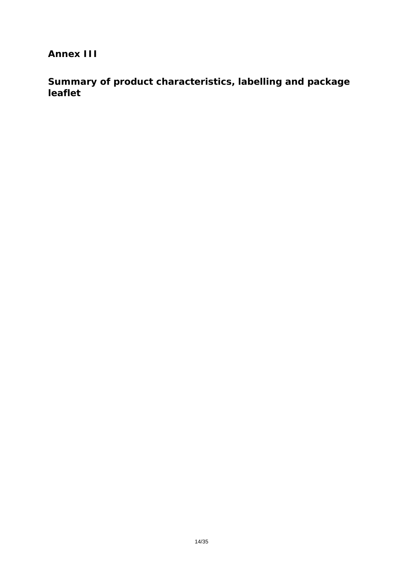**Annex III** 

**Summary of product characteristics, labelling and package leaflet**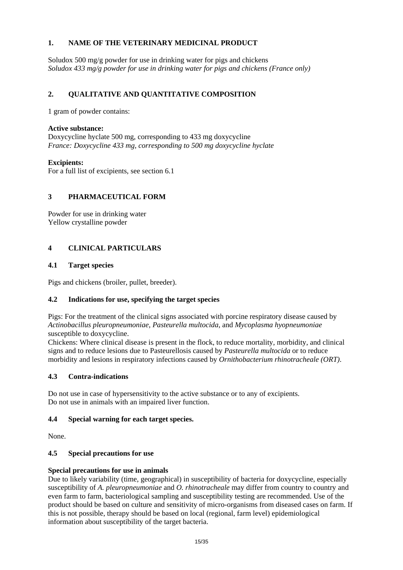# **1. NAME OF THE VETERINARY MEDICINAL PRODUCT**

Soludox 500 mg/g powder for use in drinking water for pigs and chickens *Soludox 433 mg/g powder for use in drinking water for pigs and chickens (France only)* 

# **2. QUALITATIVE AND QUANTITATIVE COMPOSITION**

1 gram of powder contains:

## **Active substance:**

Doxycycline hyclate 500 mg, corresponding to 433 mg doxycycline *France: Doxycycline 433 mg, corresponding to 500 mg doxycycline hyclate* 

**Excipients:**  For a full list of excipients, see section 6.1

# **3 PHARMACEUTICAL FORM**

Powder for use in drinking water Yellow crystalline powder

# **4 CLINICAL PARTICULARS**

## **4.1 Target species**

Pigs and chickens (broiler, pullet, breeder).

# **4.2 Indications for use, specifying the target species**

Pigs: For the treatment of the clinical signs associated with porcine respiratory disease caused by *Actinobacillus pleuropneumoniae, Pasteurella multocida*, and *Mycoplasma hyopneumoniae* susceptible to doxycycline.

Chickens: Where clinical disease is present in the flock, to reduce mortality, morbidity, and clinical signs and to reduce lesions due to Pasteurellosis caused by *Pasteurella multocida* or to reduce morbidity and lesions in respiratory infections caused by *Ornithobacterium rhinotracheale (ORT)*.

## **4.3 Contra-indications**

Do not use in case of hypersensitivity to the active substance or to any of excipients. Do not use in animals with an impaired liver function.

# **4.4 Special warning for each target species.**

None.

# **4.5 Special precautions for use**

## **Special precautions for use in animals**

Due to likely variability (time, geographical) in susceptibility of bacteria for doxycycline, especially susceptibility of *A. pleuropneumoniae* and *O. rhinotracheale* may differ from country to country and even farm to farm, bacteriological sampling and susceptibility testing are recommended. Use of the product should be based on culture and sensitivity of micro-organisms from diseased cases on farm. If this is not possible, therapy should be based on local (regional, farm level) epidemiological information about susceptibility of the target bacteria.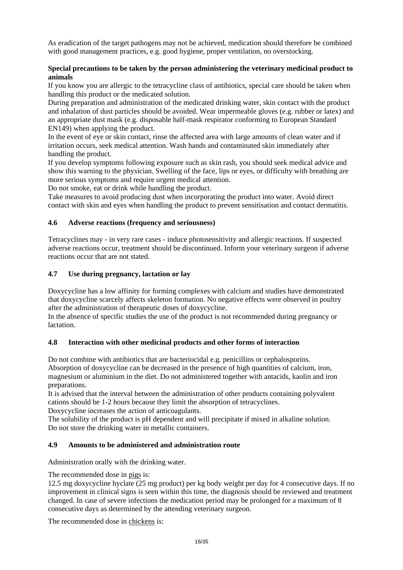As eradication of the target pathogens may not be achieved, medication should therefore be combined with good management practices, e.g. good hygiene, proper ventilation, no overstocking.

# **Special precautions to be taken by the person administering the veterinary medicinal product to animals**

If you know you are allergic to the tetracycline class of antibiotics, special care should be taken when handling this product or the medicated solution.

During preparation and administration of the medicated drinking water, skin contact with the product and inhalation of dust particles should be avoided. Wear impermeable gloves (e.g. rubber or latex) and an appropriate dust mask (e.g. disposable half-mask respirator conforming to European Standard EN149) when applying the product.

In the event of eye or skin contact, rinse the affected area with large amounts of clean water and if irritation occurs, seek medical attention. Wash hands and contaminated skin immediately after handling the product.

If you develop symptoms following exposure such as skin rash, you should seek medical advice and show this warning to the physician. Swelling of the face, lips or eyes, or difficulty with breathing are more serious symptoms and require urgent medical attention.

Do not smoke, eat or drink while handling the product.

Take measures to avoid producing dust when incorporating the product into water. Avoid direct contact with skin and eyes when handling the product to prevent sensitisation and contact dermatitis.

# **4.6 Adverse reactions (frequency and seriousness)**

Tetracyclines may - in very rare cases - induce photosensitivity and allergic reactions. If suspected adverse reactions occur, treatment should be discontinued. Inform your veterinary surgeon if adverse reactions occur that are not stated.

## **4.7 Use during pregnancy, lactation or lay**

Doxycycline has a low affinity for forming complexes with calcium and studies have demonstrated that doxycycline scarcely affects skeleton formation. No negative effects were observed in poultry after the administration of therapeutic doses of doxycycline.

In the absence of specific studies the use of the product is not recommended during pregnancy or lactation.

# **4.8 Interaction with other medicinal products and other forms of interaction**

Do not combine with antibiotics that are bacteriocidal e.g. penicillins or cephalosporins. Absorption of doxycycline can be decreased in the presence of high quantities of calcium, iron, magnesium or aluminium in the diet. Do not administered together with antacids, kaolin and iron preparations.

It is advised that the interval between the administration of other products containing polyvalent cations should be 1-2 hours because they limit the absorption of tetracyclines.

Doxycycline increases the action of anticoagulants.

The solubility of the product is pH dependent and will precipitate if mixed in alkaline solution. Do not store the drinking water in metallic containers.

## **4.9 Amounts to be administered and administration route**

Administration orally with the drinking water.

## The recommended dose in pigs is:

12.5 mg doxycycline hyclate (25 mg product) per kg body weight per day for 4 consecutive days. If no improvement in clinical signs is seen within this time, the diagnosis should be reviewed and treatment changed. In case of severe infections the medication period may be prolonged for a maximum of 8 consecutive days as determined by the attending veterinary surgeon.

The recommended dose in chickens is: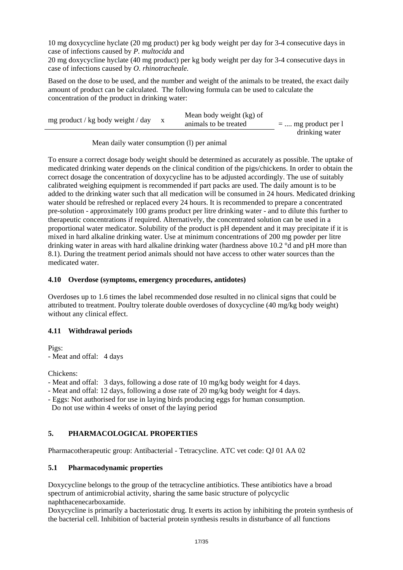10 mg doxycycline hyclate (20 mg product) per kg body weight per day for 3-4 consecutive days in case of infections caused by *P. multocida* and

20 mg doxycycline hyclate (40 mg product) per kg body weight per day for 3-4 consecutive days in case of infections caused by *O. rhinotracheale.* 

Based on the dose to be used, and the number and weight of the animals to be treated, the exact daily amount of product can be calculated. The following formula can be used to calculate the concentration of the product in drinking water:

| mg product / kg body weight / day | Mean body weight (kg) of<br>animals to be treated | $=$ mg product per $\Gamma$ |
|-----------------------------------|---------------------------------------------------|-----------------------------|
|                                   |                                                   | drinking water              |

## Mean daily water consumption (l) per animal

To ensure a correct dosage body weight should be determined as accurately as possible. The uptake of medicated drinking water depends on the clinical condition of the pigs/chickens. In order to obtain the correct dosage the concentration of doxycycline has to be adjusted accordingly. The use of suitably calibrated weighing equipment is recommended if part packs are used. The daily amount is to be added to the drinking water such that all medication will be consumed in 24 hours. Medicated drinking water should be refreshed or replaced every 24 hours. It is recommended to prepare a concentrated pre-solution - approximately 100 grams product per litre drinking water - and to dilute this further to therapeutic concentrations if required. Alternatively, the concentrated solution can be used in a proportional water medicator. Solubility of the product is pH dependent and it may precipitate if it is mixed in hard alkaline drinking water. Use at minimum concentrations of 200 mg powder per litre drinking water in areas with hard alkaline drinking water (hardness above 10.2 °d and pH more than 8.1). During the treatment period animals should not have access to other water sources than the medicated water.

# **4.10 Overdose (symptoms, emergency procedures, antidotes)**

Overdoses up to 1.6 times the label recommended dose resulted in no clinical signs that could be attributed to treatment. Poultry tolerate double overdoses of doxycycline (40 mg/kg body weight) without any clinical effect.

# **4.11 Withdrawal periods**

Pigs: - Meat and offal: 4 days

Chickens:

- Meat and offal: 3 days, following a dose rate of 10 mg/kg body weight for 4 days.
- Meat and offal: 12 days, following a dose rate of 20 mg/kg body weight for 4 days.
- Eggs: Not authorised for use in laying birds producing eggs for human consumption.

Do not use within 4 weeks of onset of the laying period

# **5. PHARMACOLOGICAL PROPERTIES**

Pharmacotherapeutic group: Antibacterial - Tetracycline. ATC vet code: QJ 01 AA 02

# **5.1 Pharmacodynamic properties**

Doxycycline belongs to the group of the tetracycline antibiotics. These antibiotics have a broad spectrum of antimicrobial activity, sharing the same basic structure of polycyclic naphthacenecarboxamide.

Doxycycline is primarily a bacteriostatic drug. It exerts its action by inhibiting the protein synthesis of the bacterial cell. Inhibition of bacterial protein synthesis results in disturbance of all functions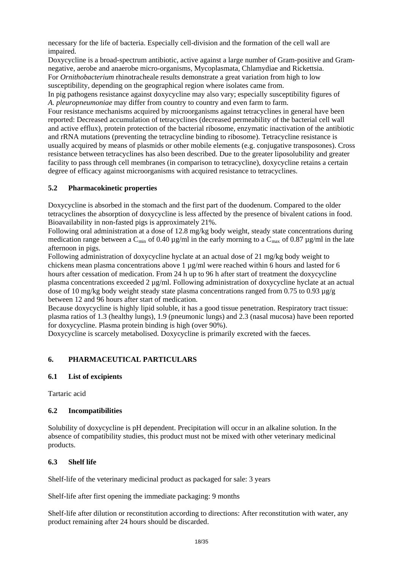necessary for the life of bacteria. Especially cell-division and the formation of the cell wall are impaired.

Doxycycline is a broad-spectrum antibiotic, active against a large number of Gram-positive and Gramnegative, aerobe and anaerobe micro-organisms, Mycoplasmata, Chlamydiae and Rickettsia.

For *Ornithobacterium* rhinotracheale results demonstrate a great variation from high to low susceptibility, depending on the geographical region where isolates came from.

In pig pathogens resistance against doxycycline may also vary; especially susceptibility figures of *A. pleuropneumoniae* may differ from country to country and even farm to farm.

Four resistance mechanisms acquired by microorganisms against tetracyclines in general have been reported: Decreased accumulation of tetracyclines (decreased permeability of the bacterial cell wall and active efflux), protein protection of the bacterial ribosome, enzymatic inactivation of the antibiotic and rRNA mutations (preventing the tetracycline binding to ribosome). Tetracycline resistance is usually acquired by means of plasmids or other mobile elements (e.g. conjugative transposones). Cross resistance between tetracyclines has also been described. Due to the greater liposolubility and greater facility to pass through cell membranes (in comparison to tetracycline), doxycycline retains a certain degree of efficacy against microorganisms with acquired resistance to tetracyclines.

# **5.2 Pharmacokinetic properties**

Doxycycline is absorbed in the stomach and the first part of the duodenum. Compared to the older tetracyclines the absorption of doxycycline is less affected by the presence of bivalent cations in food. Bioavailability in non-fasted pigs is approximately 21%.

Following oral administration at a dose of 12.8 mg/kg body weight, steady state concentrations during medication range between a C<sub>min</sub> of 0.40  $\mu$ g/ml in the early morning to a C<sub>max</sub> of 0.87  $\mu$ g/ml in the late afternoon in pigs.

Following administration of doxycycline hyclate at an actual dose of 21 mg/kg body weight to chickens mean plasma concentrations above 1  $\mu$ g/ml were reached within 6 hours and lasted for 6 hours after cessation of medication. From 24 h up to 96 h after start of treatment the doxycycline plasma concentrations exceeded 2 µg/ml. Following administration of doxycycline hyclate at an actual dose of 10 mg/kg body weight steady state plasma concentrations ranged from 0.75 to 0.93  $\mu$ g/g between 12 and 96 hours after start of medication.

Because doxycycline is highly lipid soluble, it has a good tissue penetration. Respiratory tract tissue: plasma ratios of 1.3 (healthy lungs), 1.9 (pneumonic lungs) and 2.3 (nasal mucosa) have been reported for doxycycline. Plasma protein binding is high (over 90%).

Doxycycline is scarcely metabolised. Doxycycline is primarily excreted with the faeces.

# **6. PHARMACEUTICAL PARTICULARS**

# **6.1 List of excipients**

Tartaric acid

# **6.2 Incompatibilities**

Solubility of doxycycline is pH dependent. Precipitation will occur in an alkaline solution. In the absence of compatibility studies, this product must not be mixed with other veterinary medicinal products.

# **6.3 Shelf life**

Shelf-life of the veterinary medicinal product as packaged for sale: 3 years

Shelf-life after first opening the immediate packaging: 9 months

Shelf-life after dilution or reconstitution according to directions: After reconstitution with water, any product remaining after 24 hours should be discarded.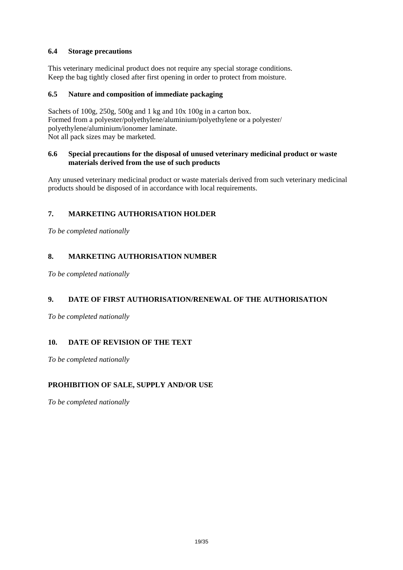# **6.4 Storage precautions**

This veterinary medicinal product does not require any special storage conditions. Keep the bag tightly closed after first opening in order to protect from moisture.

# **6.5 Nature and composition of immediate packaging**

Sachets of 100g, 250g, 500g and 1 kg and 10x 100g in a carton box. Formed from a polyester/polyethylene/aluminium/polyethylene or a polyester/ polyethylene/aluminium/ionomer laminate. Not all pack sizes may be marketed.

## **6.6 Special precautions for the disposal of unused veterinary medicinal product or waste materials derived from the use of such products**

Any unused veterinary medicinal product or waste materials derived from such veterinary medicinal products should be disposed of in accordance with local requirements.

# **7. MARKETING AUTHORISATION HOLDER**

*To be completed nationally* 

# **8. MARKETING AUTHORISATION NUMBER**

*To be completed nationally* 

# **9. DATE OF FIRST AUTHORISATION/RENEWAL OF THE AUTHORISATION**

*To be completed nationally* 

# **10. DATE OF REVISION OF THE TEXT**

*To be completed nationally* 

# **PROHIBITION OF SALE, SUPPLY AND/OR USE**

*To be completed nationally*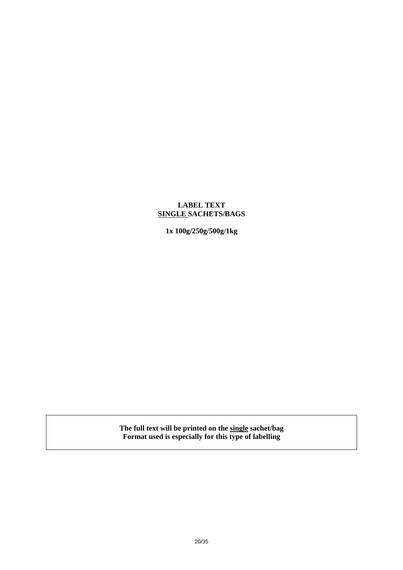# **LABEL TEXT SINGLE SACHETS/BAGS**

**1x 100g/250g/500g/1kg** 

**The full text will be printed on the single sachet/bag Format used is especially for this type of labelling**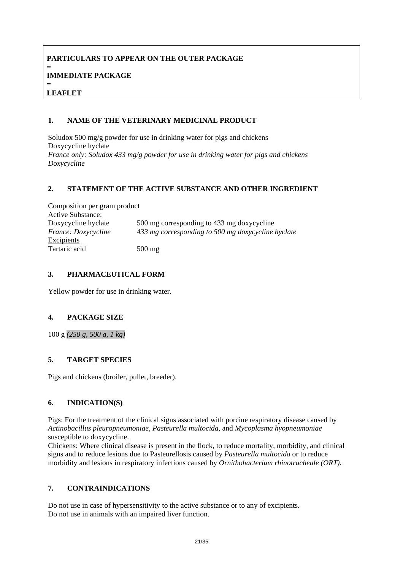## **PARTICULARS TO APPEAR ON THE OUTER PACKAGE = IMMEDIATE PACKAGE = LEAFLET**

# **1. NAME OF THE VETERINARY MEDICINAL PRODUCT**

Soludox 500 mg/g powder for use in drinking water for pigs and chickens Doxycycline hyclate *France only: Soludox 433 mg/g powder for use in drinking water for pigs and chickens Doxycycline* 

## **2. STATEMENT OF THE ACTIVE SUBSTANCE AND OTHER INGREDIENT**

| Composition per gram product |                                                    |  |  |  |  |  |  |
|------------------------------|----------------------------------------------------|--|--|--|--|--|--|
| Active Substance:            |                                                    |  |  |  |  |  |  |
| Doxycycline hyclate          | 500 mg corresponding to 433 mg doxycycline         |  |  |  |  |  |  |
| France: Doxycycline          | 433 mg corresponding to 500 mg doxycycline hyclate |  |  |  |  |  |  |
| Excipients                   |                                                    |  |  |  |  |  |  |
| Tartaric acid                | $500$ mg                                           |  |  |  |  |  |  |

# **3. PHARMACEUTICAL FORM**

Yellow powder for use in drinking water.

# **4. PACKAGE SIZE**

100 g *(250 g, 500 g, 1 kg)*

# **5. TARGET SPECIES**

Pigs and chickens (broiler, pullet, breeder).

# **6. INDICATION(S)**

Pigs: For the treatment of the clinical signs associated with porcine respiratory disease caused by *Actinobacillus pleuropneumoniae, Pasteurella multocida*, and *Mycoplasma hyopneumoniae* susceptible to doxycycline.

Chickens: Where clinical disease is present in the flock, to reduce mortality, morbidity, and clinical signs and to reduce lesions due to Pasteurellosis caused by *Pasteurella multocida* or to reduce morbidity and lesions in respiratory infections caused by *Ornithobacterium rhinotracheale (ORT)*.

# **7. CONTRAINDICATIONS**

Do not use in case of hypersensitivity to the active substance or to any of excipients. Do not use in animals with an impaired liver function.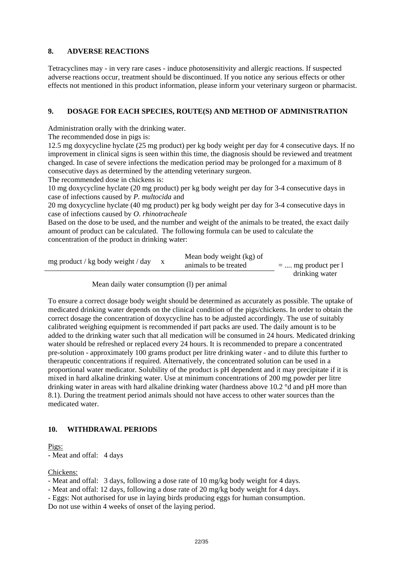## **8. ADVERSE REACTIONS**

Tetracyclines may - in very rare cases - induce photosensitivity and allergic reactions. If suspected adverse reactions occur, treatment should be discontinued. If you notice any serious effects or other effects not mentioned in this product information, please inform your veterinary surgeon or pharmacist.

## **9. DOSAGE FOR EACH SPECIES, ROUTE(S) AND METHOD OF ADMINISTRATION**

Administration orally with the drinking water.

The recommended dose in pigs is:

12.5 mg doxycycline hyclate (25 mg product) per kg body weight per day for 4 consecutive days. If no improvement in clinical signs is seen within this time, the diagnosis should be reviewed and treatment changed. In case of severe infections the medication period may be prolonged for a maximum of 8 consecutive days as determined by the attending veterinary surgeon.

The recommended dose in chickens is:

10 mg doxycycline hyclate (20 mg product) per kg body weight per day for 3-4 consecutive days in case of infections caused by *P. multocida* and

20 mg doxycycline hyclate (40 mg product) per kg body weight per day for 3-4 consecutive days in case of infections caused by *O. rhinotracheale*

Based on the dose to be used, and the number and weight of the animals to be treated, the exact daily amount of product can be calculated. The following formula can be used to calculate the concentration of the product in drinking water:

| mg product / kg body weight / day | Mean body weight (kg) of<br>animals to be treated | $=$ mg product per l |
|-----------------------------------|---------------------------------------------------|----------------------|
|                                   |                                                   | drinking water       |

Mean daily water consumption (l) per animal

To ensure a correct dosage body weight should be determined as accurately as possible. The uptake of medicated drinking water depends on the clinical condition of the pigs/chickens. In order to obtain the correct dosage the concentration of doxycycline has to be adjusted accordingly. The use of suitably calibrated weighing equipment is recommended if part packs are used. The daily amount is to be added to the drinking water such that all medication will be consumed in 24 hours. Medicated drinking water should be refreshed or replaced every 24 hours. It is recommended to prepare a concentrated pre-solution - approximately 100 grams product per litre drinking water - and to dilute this further to therapeutic concentrations if required. Alternatively, the concentrated solution can be used in a proportional water medicator. Solubility of the product is pH dependent and it may precipitate if it is mixed in hard alkaline drinking water. Use at minimum concentrations of 200 mg powder per litre drinking water in areas with hard alkaline drinking water (hardness above 10.2 °d and pH more than 8.1). During the treatment period animals should not have access to other water sources than the medicated water.

# **10. WITHDRAWAL PERIODS**

Pigs:

- Meat and offal: 4 days

Chickens:

- Meat and offal: 3 days, following a dose rate of 10 mg/kg body weight for 4 days.

- Meat and offal: 12 days, following a dose rate of 20 mg/kg body weight for 4 days.

- Eggs: Not authorised for use in laying birds producing eggs for human consumption.

Do not use within 4 weeks of onset of the laying period.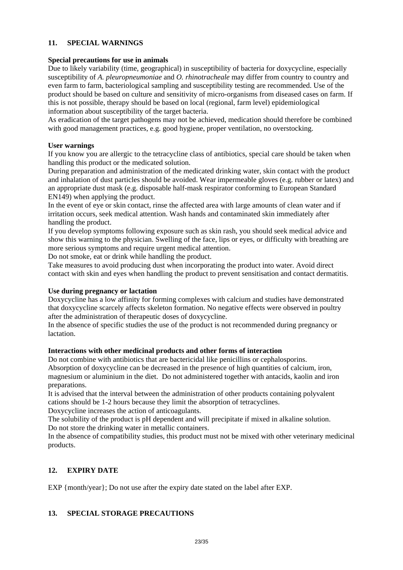## **11. SPECIAL WARNINGS**

## **Special precautions for use in animals**

Due to likely variability (time, geographical) in susceptibility of bacteria for doxycycline, especially susceptibility of *A. pleuropneumoniae* and *O. rhinotracheale* may differ from country to country and even farm to farm, bacteriological sampling and susceptibility testing are recommended. Use of the product should be based on culture and sensitivity of micro-organisms from diseased cases on farm. If this is not possible, therapy should be based on local (regional, farm level) epidemiological information about susceptibility of the target bacteria.

As eradication of the target pathogens may not be achieved, medication should therefore be combined with good management practices, e.g. good hygiene, proper ventilation, no overstocking.

## **User warnings**

If you know you are allergic to the tetracycline class of antibiotics, special care should be taken when handling this product or the medicated solution.

During preparation and administration of the medicated drinking water, skin contact with the product and inhalation of dust particles should be avoided. Wear impermeable gloves (e.g. rubber or latex) and an appropriate dust mask (e.g. disposable half-mask respirator conforming to European Standard EN149) when applying the product.

In the event of eye or skin contact, rinse the affected area with large amounts of clean water and if irritation occurs, seek medical attention. Wash hands and contaminated skin immediately after handling the product.

If you develop symptoms following exposure such as skin rash, you should seek medical advice and show this warning to the physician. Swelling of the face, lips or eyes, or difficulty with breathing are more serious symptoms and require urgent medical attention.

Do not smoke, eat or drink while handling the product.

Take measures to avoid producing dust when incorporating the product into water. Avoid direct contact with skin and eyes when handling the product to prevent sensitisation and contact dermatitis.

## **Use during pregnancy or lactation**

Doxycycline has a low affinity for forming complexes with calcium and studies have demonstrated that doxycycline scarcely affects skeleton formation. No negative effects were observed in poultry after the administration of therapeutic doses of doxycycline.

In the absence of specific studies the use of the product is not recommended during pregnancy or lactation.

## **Interactions with other medicinal products and other forms of interaction**

Do not combine with antibiotics that are bactericidal like penicillins or cephalosporins. Absorption of doxycycline can be decreased in the presence of high quantities of calcium, iron, magnesium or aluminium in the diet. Do not administered together with antacids, kaolin and iron preparations.

It is advised that the interval between the administration of other products containing polyvalent cations should be 1-2 hours because they limit the absorption of tetracyclines.

Doxycycline increases the action of anticoagulants.

The solubility of the product is pH dependent and will precipitate if mixed in alkaline solution. Do not store the drinking water in metallic containers.

In the absence of compatibility studies, this product must not be mixed with other veterinary medicinal products.

# **12. EXPIRY DATE**

EXP {month/year}; Do not use after the expiry date stated on the label after EXP.

# **13. SPECIAL STORAGE PRECAUTIONS**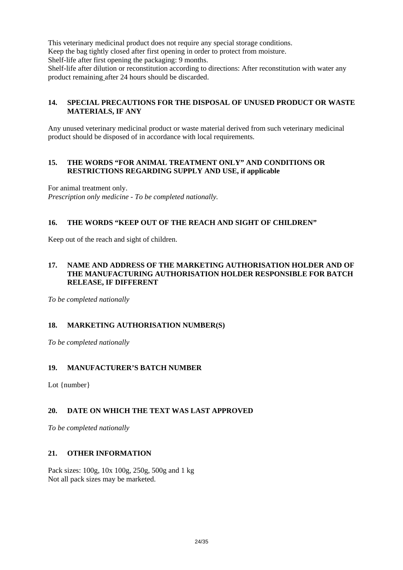This veterinary medicinal product does not require any special storage conditions. Keep the bag tightly closed after first opening in order to protect from moisture. Shelf-life after first opening the packaging: 9 months. Shelf-life after dilution or reconstitution according to directions: After reconstitution with water any product remaining after 24 hours should be discarded.

# **14. SPECIAL PRECAUTIONS FOR THE DISPOSAL OF UNUSED PRODUCT OR WASTE MATERIALS, IF ANY**

Any unused veterinary medicinal product or waste material derived from such veterinary medicinal product should be disposed of in accordance with local requirements.

## **15. THE WORDS "FOR ANIMAL TREATMENT ONLY" AND CONDITIONS OR RESTRICTIONS REGARDING SUPPLY AND USE, if applicable**

For animal treatment only. *Prescription only medicine - To be completed nationally.* 

# **16. THE WORDS "KEEP OUT OF THE REACH AND SIGHT OF CHILDREN"**

Keep out of the reach and sight of children.

## **17. NAME AND ADDRESS OF THE MARKETING AUTHORISATION HOLDER AND OF THE MANUFACTURING AUTHORISATION HOLDER RESPONSIBLE FOR BATCH RELEASE, IF DIFFERENT**

*To be completed nationally* 

# **18. MARKETING AUTHORISATION NUMBER(S)**

*To be completed nationally*

# **19. MANUFACTURER'S BATCH NUMBER**

Lot {number}

# **20. DATE ON WHICH THE TEXT WAS LAST APPROVED**

*To be completed nationally*

## **21. OTHER INFORMATION**

Pack sizes: 100g, 10x 100g, 250g, 500g and 1 kg Not all pack sizes may be marketed.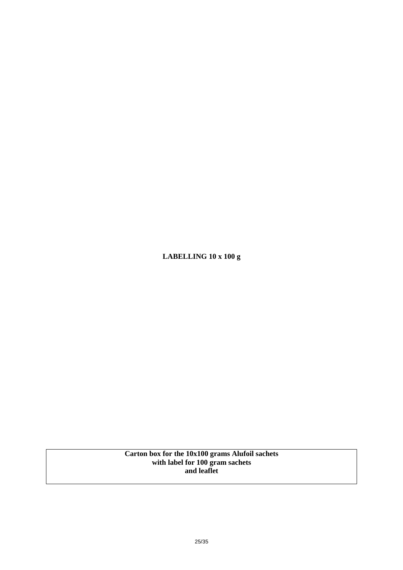**LABELLING 10 x 100 g** 

**Carton box for the 10x100 grams Alufoil sachets with label for 100 gram sachets and leaflet**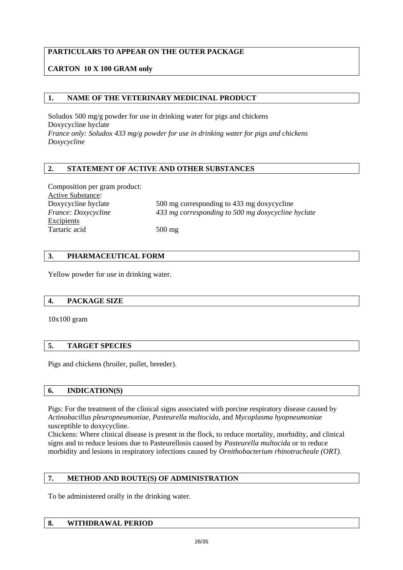# **PARTICULARS TO APPEAR ON THE OUTER PACKAGE**

# **CARTON 10 X 100 GRAM only**

## **1. NAME OF THE VETERINARY MEDICINAL PRODUCT**

Soludox 500 mg/g powder for use in drinking water for pigs and chickens Doxycycline hyclate *France only: Soludox 433 mg/g powder for use in drinking water for pigs and chickens Doxycycline* 

## **2. STATEMENT OF ACTIVE AND OTHER SUBSTANCES**

Composition per gram product: Active Substance: Doxycycline hyclate *France: Doxycycline*  Excipients Tartaric acid

500 mg corresponding to 433 mg doxycycline *433 mg corresponding to 500 mg doxycycline hyclate* 

500 mg

# **3. PHARMACEUTICAL FORM**

Yellow powder for use in drinking water.

## **4. PACKAGE SIZE**

10x100 gram

## **5. TARGET SPECIES**

Pigs and chickens (broiler, pullet, breeder).

# **6. INDICATION(S)**

Pigs: For the treatment of the clinical signs associated with porcine respiratory disease caused by *Actinobacillus pleuropneumoniae, Pasteurella multocida*, and *Mycoplasma hyopneumoniae* susceptible to doxycycline.

Chickens: Where clinical disease is present in the flock, to reduce mortality, morbidity, and clinical signs and to reduce lesions due to Pasteurellosis caused by *Pasteurella multocida* or to reduce morbidity and lesions in respiratory infections caused by *Ornithobacterium rhinotracheale (ORT)*.

## **7. METHOD AND ROUTE(S) OF ADMINISTRATION**

To be administered orally in the drinking water.

# **8. WITHDRAWAL PERIOD**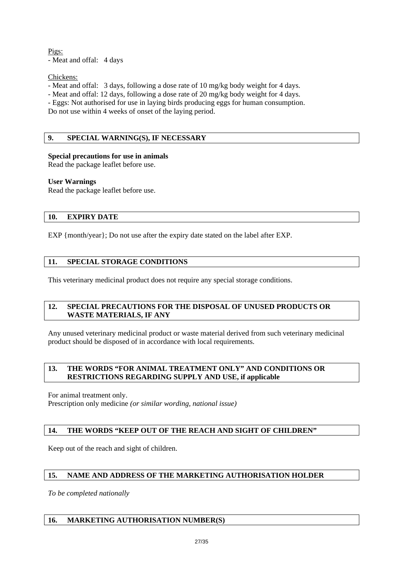Pigs: - Meat and offal: 4 days

Chickens:

- Meat and offal: 3 days, following a dose rate of 10 mg/kg body weight for 4 days.

- Meat and offal: 12 days, following a dose rate of 20 mg/kg body weight for 4 days.

- Eggs: Not authorised for use in laying birds producing eggs for human consumption.

Do not use within 4 weeks of onset of the laying period.

# **9. SPECIAL WARNING(S), IF NECESSARY**

## **Special precautions for use in animals**

Read the package leaflet before use.

## **User Warnings**

Read the package leaflet before use.

## **10. EXPIRY DATE**

EXP {month/year}; Do not use after the expiry date stated on the label after EXP.

# **11. SPECIAL STORAGE CONDITIONS**

This veterinary medicinal product does not require any special storage conditions.

## **12. SPECIAL PRECAUTIONS FOR THE DISPOSAL OF UNUSED PRODUCTS OR WASTE MATERIALS, IF ANY**

Any unused veterinary medicinal product or waste material derived from such veterinary medicinal product should be disposed of in accordance with local requirements.

## **13. THE WORDS "FOR ANIMAL TREATMENT ONLY" AND CONDITIONS OR RESTRICTIONS REGARDING SUPPLY AND USE, if applicable**

For animal treatment only. Prescription only medicine *(or similar wording, national issue)*

# **14. THE WORDS "KEEP OUT OF THE REACH AND SIGHT OF CHILDREN"**

Keep out of the reach and sight of children.

# **15. NAME AND ADDRESS OF THE MARKETING AUTHORISATION HOLDER**

*To be completed nationally*

# **16. MARKETING AUTHORISATION NUMBER(S)**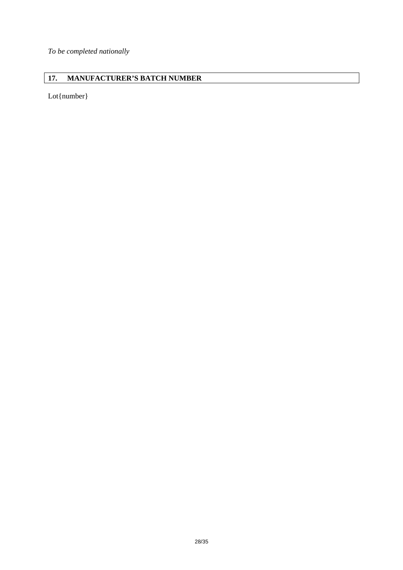*To be completed nationally*

# **17. MANUFACTURER'S BATCH NUMBER**

Lot{number}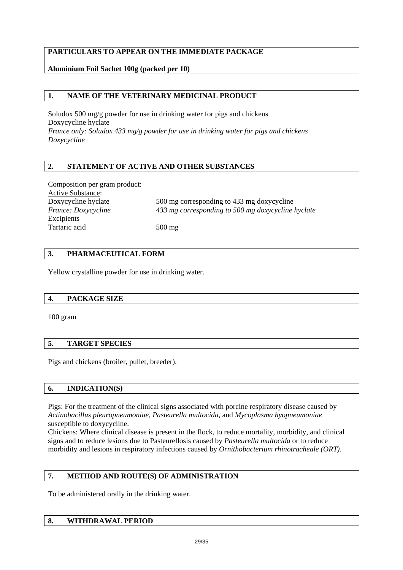# **PARTICULARS TO APPEAR ON THE IMMEDIATE PACKAGE**

# **Aluminium Foil Sachet 100g (packed per 10)**

# **1. NAME OF THE VETERINARY MEDICINAL PRODUCT**

Soludox 500 mg/g powder for use in drinking water for pigs and chickens Doxycycline hyclate *France only: Soludox 433 mg/g powder for use in drinking water for pigs and chickens Doxycycline* 

# **2. STATEMENT OF ACTIVE AND OTHER SUBSTANCES**

Composition per gram product: Active Substance: Doxycycline hyclate *France: Doxycycline*  Excipients Tartaric acid

500 mg corresponding to 433 mg doxycycline *433 mg corresponding to 500 mg doxycycline hyclate* 

500 mg

# **3. PHARMACEUTICAL FORM**

Yellow crystalline powder for use in drinking water.

## **4. PACKAGE SIZE**

100 gram

# **5. TARGET SPECIES**

Pigs and chickens (broiler, pullet, breeder).

# **6. INDICATION(S)**

Pigs: For the treatment of the clinical signs associated with porcine respiratory disease caused by *Actinobacillus pleuropneumoniae, Pasteurella multocida*, and *Mycoplasma hyopneumoniae* susceptible to doxycycline.

Chickens: Where clinical disease is present in the flock, to reduce mortality, morbidity, and clinical signs and to reduce lesions due to Pasteurellosis caused by *Pasteurella multocida* or to reduce morbidity and lesions in respiratory infections caused by *Ornithobacterium rhinotracheale (ORT)*.

# **7. METHOD AND ROUTE(S) OF ADMINISTRATION**

To be administered orally in the drinking water.

# **8. WITHDRAWAL PERIOD**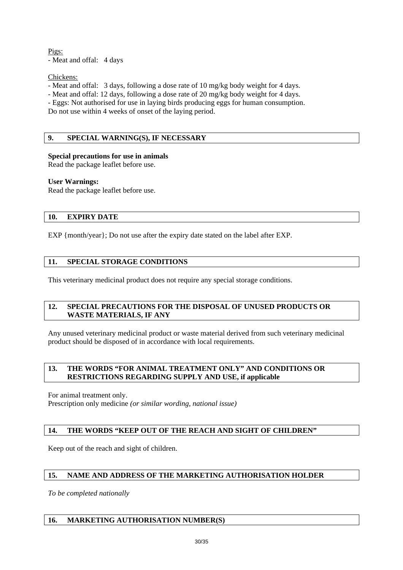Pigs: - Meat and offal: 4 days

Chickens:

- Meat and offal: 3 days, following a dose rate of 10 mg/kg body weight for 4 days.

- Meat and offal: 12 days, following a dose rate of 20 mg/kg body weight for 4 days.

- Eggs: Not authorised for use in laying birds producing eggs for human consumption.

Do not use within 4 weeks of onset of the laying period.

# **9. SPECIAL WARNING(S), IF NECESSARY**

## **Special precautions for use in animals**

Read the package leaflet before use.

## **User Warnings:**

Read the package leaflet before use.

## **10. EXPIRY DATE**

EXP {month/year}; Do not use after the expiry date stated on the label after EXP.

# **11. SPECIAL STORAGE CONDITIONS**

This veterinary medicinal product does not require any special storage conditions.

## **12. SPECIAL PRECAUTIONS FOR THE DISPOSAL OF UNUSED PRODUCTS OR WASTE MATERIALS, IF ANY**

Any unused veterinary medicinal product or waste material derived from such veterinary medicinal product should be disposed of in accordance with local requirements.

## **13. THE WORDS "FOR ANIMAL TREATMENT ONLY" AND CONDITIONS OR RESTRICTIONS REGARDING SUPPLY AND USE, if applicable**

For animal treatment only. Prescription only medicine *(or similar wording, national issue)*

# **14. THE WORDS "KEEP OUT OF THE REACH AND SIGHT OF CHILDREN"**

Keep out of the reach and sight of children.

# **15. NAME AND ADDRESS OF THE MARKETING AUTHORISATION HOLDER**

*To be completed nationally*

# **16. MARKETING AUTHORISATION NUMBER(S)**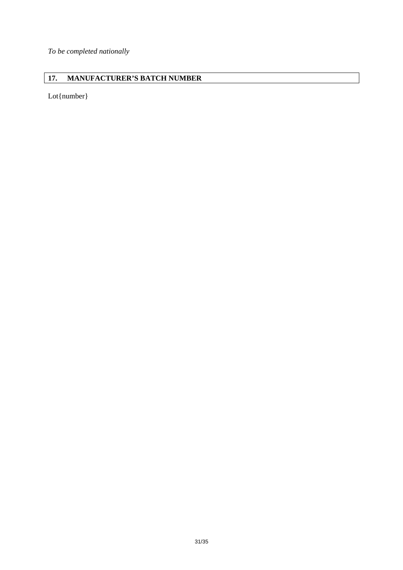*To be completed nationally* 

# **17. MANUFACTURER'S BATCH NUMBER**

Lot{number}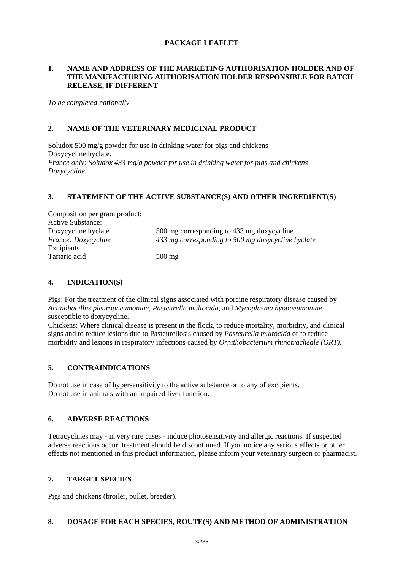# **PACKAGE LEAFLET**

## **1. NAME AND ADDRESS OF THE MARKETING AUTHORISATION HOLDER AND OF THE MANUFACTURING AUTHORISATION HOLDER RESPONSIBLE FOR BATCH RELEASE, IF DIFFERENT**

*To be completed nationally*

## **2. NAME OF THE VETERINARY MEDICINAL PRODUCT**

Soludox 500 mg/g powder for use in drinking water for pigs and chickens Doxycycline hyclate. *France only: Soludox 433 mg/g powder for use in drinking water for pigs and chickens Doxycycline.* 

## **3. STATEMENT OF THE ACTIVE SUBSTANCE(S) AND OTHER INGREDIENT(S)**

| Composition per gram product: |                                                    |
|-------------------------------|----------------------------------------------------|
| <b>Active Substance:</b>      |                                                    |
| Doxycycline hyclate           | 500 mg corresponding to 433 mg doxycycline         |
| <i>France: Doxycycline</i>    | 433 mg corresponding to 500 mg doxycycline hyclate |
| <b>Excipients</b>             |                                                    |
| Tartaric acid                 | $500 \text{ mg}$                                   |

## **4. INDICATION(S)**

Pigs: For the treatment of the clinical signs associated with porcine respiratory disease caused by *Actinobacillus pleuropneumoniae, Pasteurella multocida*, and *Mycoplasma hyopneumoniae* susceptible to doxycycline.

Chickens: Where clinical disease is present in the flock, to reduce mortality, morbidity, and clinical signs and to reduce lesions due to Pasteurellosis caused by *Pasteurella multocida* or to reduce morbidity and lesions in respiratory infections caused by *Ornithobacterium rhinotracheale (ORT)*.

# **5. CONTRAINDICATIONS**

Do not use in case of hypersensitivity to the active substance or to any of excipients. Do not use in animals with an impaired liver function.

## **6. ADVERSE REACTIONS**

Tetracyclines may - in very rare cases - induce photosensitivity and allergic reactions. If suspected adverse reactions occur, treatment should be discontinued. If you notice any serious effects or other effects not mentioned in this product information, please inform your veterinary surgeon or pharmacist.

# **7. TARGET SPECIES**

Pigs and chickens (broiler, pullet, breeder).

## **8. DOSAGE FOR EACH SPECIES, ROUTE(S) AND METHOD OF ADMINISTRATION**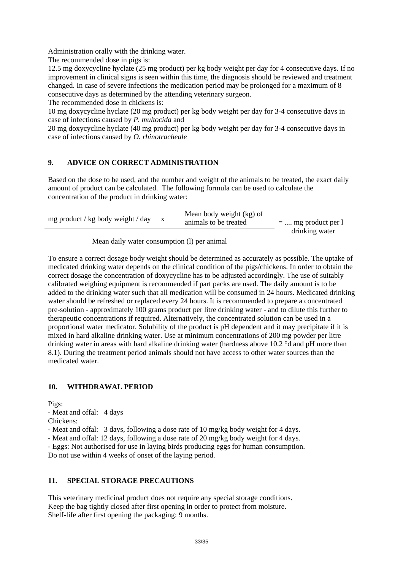Administration orally with the drinking water.

The recommended dose in pigs is:

12.5 mg doxycycline hyclate (25 mg product) per kg body weight per day for 4 consecutive days. If no improvement in clinical signs is seen within this time, the diagnosis should be reviewed and treatment changed. In case of severe infections the medication period may be prolonged for a maximum of 8 consecutive days as determined by the attending veterinary surgeon.

The recommended dose in chickens is:

10 mg doxycycline hyclate (20 mg product) per kg body weight per day for 3-4 consecutive days in case of infections caused by *P. multocida* and

20 mg doxycycline hyclate (40 mg product) per kg body weight per day for 3-4 consecutive days in case of infections caused by *O. rhinotracheale*

# **9. ADVICE ON CORRECT ADMINISTRATION**

Based on the dose to be used, and the number and weight of the animals to be treated, the exact daily amount of product can be calculated. The following formula can be used to calculate the concentration of the product in drinking water:

| mg product / kg body weight / day | Mean body weight (kg) of<br>animals to be treated | $=$ mg product per 1 |
|-----------------------------------|---------------------------------------------------|----------------------|
|                                   |                                                   | drinking water       |

Mean daily water consumption (l) per animal

To ensure a correct dosage body weight should be determined as accurately as possible. The uptake of medicated drinking water depends on the clinical condition of the pigs/chickens. In order to obtain the correct dosage the concentration of doxycycline has to be adjusted accordingly. The use of suitably calibrated weighing equipment is recommended if part packs are used. The daily amount is to be added to the drinking water such that all medication will be consumed in 24 hours. Medicated drinking water should be refreshed or replaced every 24 hours. It is recommended to prepare a concentrated pre-solution - approximately 100 grams product per litre drinking water - and to dilute this further to therapeutic concentrations if required. Alternatively, the concentrated solution can be used in a proportional water medicator. Solubility of the product is pH dependent and it may precipitate if it is mixed in hard alkaline drinking water. Use at minimum concentrations of 200 mg powder per litre drinking water in areas with hard alkaline drinking water (hardness above 10.2 °d and pH more than 8.1). During the treatment period animals should not have access to other water sources than the medicated water.

# **10. WITHDRAWAL PERIOD**

Pigs:

- Meat and offal: 4 days

Chickens:

- Meat and offal: 3 days, following a dose rate of 10 mg/kg body weight for 4 days.

- Meat and offal: 12 days, following a dose rate of 20 mg/kg body weight for 4 days.

- Eggs: Not authorised for use in laying birds producing eggs for human consumption.

Do not use within 4 weeks of onset of the laying period.

# **11. SPECIAL STORAGE PRECAUTIONS**

This veterinary medicinal product does not require any special storage conditions. Keep the bag tightly closed after first opening in order to protect from moisture. Shelf-life after first opening the packaging: 9 months.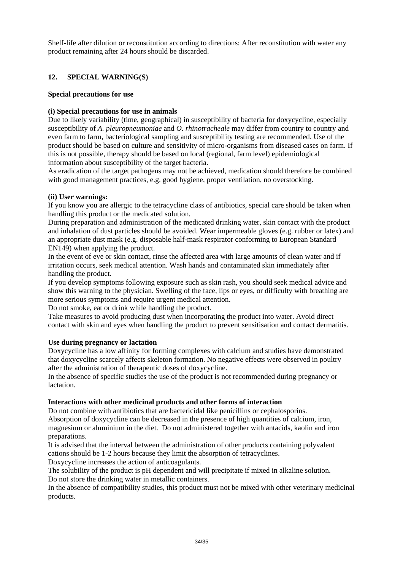Shelf-life after dilution or reconstitution according to directions: After reconstitution with water any product remaining after 24 hours should be discarded.

# **12. SPECIAL WARNING(S)**

## **Special precautions for use**

## **(i) Special precautions for use in animals**

Due to likely variability (time, geographical) in susceptibility of bacteria for doxycycline, especially susceptibility of *A. pleuropneumoniae* and *O. rhinotracheale* may differ from country to country and even farm to farm, bacteriological sampling and susceptibility testing are recommended. Use of the product should be based on culture and sensitivity of micro-organisms from diseased cases on farm. If this is not possible, therapy should be based on local (regional, farm level) epidemiological information about susceptibility of the target bacteria.

As eradication of the target pathogens may not be achieved, medication should therefore be combined with good management practices, e.g. good hygiene, proper ventilation, no overstocking.

## **(ii) User warnings:**

If you know you are allergic to the tetracycline class of antibiotics, special care should be taken when handling this product or the medicated solution.

During preparation and administration of the medicated drinking water, skin contact with the product and inhalation of dust particles should be avoided. Wear impermeable gloves (e.g. rubber or latex) and an appropriate dust mask (e.g. disposable half-mask respirator conforming to European Standard EN149) when applying the product.

In the event of eye or skin contact, rinse the affected area with large amounts of clean water and if irritation occurs, seek medical attention. Wash hands and contaminated skin immediately after handling the product.

If you develop symptoms following exposure such as skin rash, you should seek medical advice and show this warning to the physician. Swelling of the face, lips or eyes, or difficulty with breathing are more serious symptoms and require urgent medical attention.

Do not smoke, eat or drink while handling the product.

Take measures to avoid producing dust when incorporating the product into water. Avoid direct contact with skin and eyes when handling the product to prevent sensitisation and contact dermatitis.

## **Use during pregnancy or lactation**

Doxycycline has a low affinity for forming complexes with calcium and studies have demonstrated that doxycycline scarcely affects skeleton formation. No negative effects were observed in poultry after the administration of therapeutic doses of doxycycline.

In the absence of specific studies the use of the product is not recommended during pregnancy or lactation.

## **Interactions with other medicinal products and other forms of interaction**

Do not combine with antibiotics that are bactericidal like penicillins or cephalosporins. Absorption of doxycycline can be decreased in the presence of high quantities of calcium, iron, magnesium or aluminium in the diet. Do not administered together with antacids, kaolin and iron preparations.

It is advised that the interval between the administration of other products containing polyvalent cations should be 1-2 hours because they limit the absorption of tetracyclines.

Doxycycline increases the action of anticoagulants.

The solubility of the product is pH dependent and will precipitate if mixed in alkaline solution. Do not store the drinking water in metallic containers.

In the absence of compatibility studies, this product must not be mixed with other veterinary medicinal products.